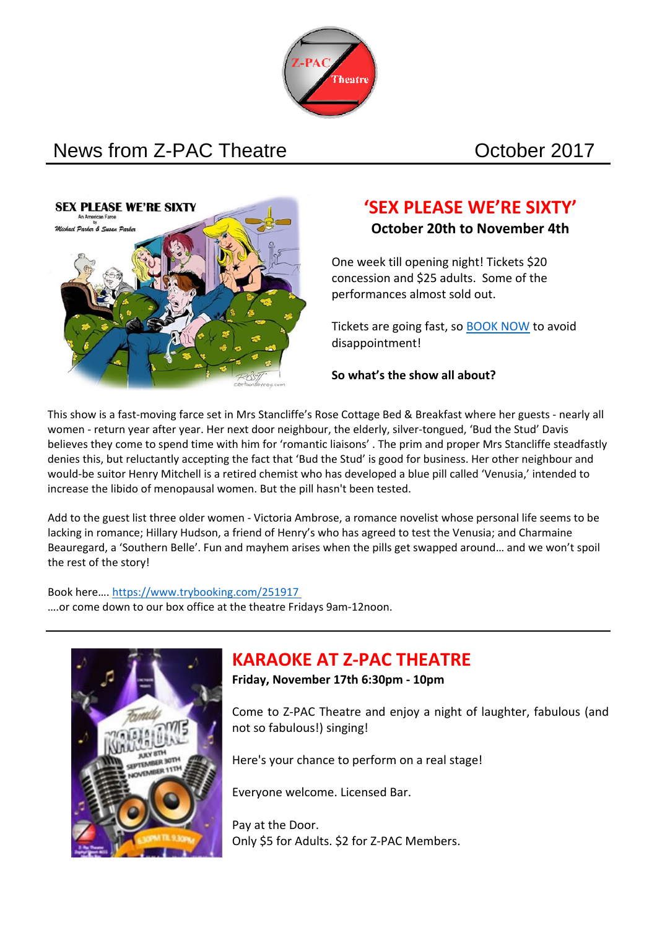

# News from Z-PAC Theatre **News** Corober 2017



### **'SEX PLEASE WE'RE SIXTY'**

**October 20th to November 4th**

One week till opening night! Tickets \$20 concession and \$25 adults. Some of the performances almost sold out.

Tickets are going fast, so **[BOOK](https://www.trybooking.com/251917) NOW** to avoid disappointment!

**So what's the show all about?**

This show is a fast-moving farce set in Mrs Stancliffe's Rose Cottage Bed & Breakfast where her guests - nearly all women - return year after year. Her next door neighbour, the elderly, silver-tongued, 'Bud the Stud' Davis believes they come to spend time with him for 'romantic liaisons' . The prim and proper Mrs Stancliffe steadfastly denies this, but reluctantly accepting the fact that 'Bud the Stud' is good for business. Her other neighbour and would‐be suitor Henry Mitchell is a retired chemist who has developed a blue pill called 'Venusia,' intended to increase the libido of menopausal women. But the pill hasn't been tested.

Add to the guest list three older women ‐ Victoria Ambrose, a romance novelist whose personal life seems to be lacking in romance; Hillary Hudson, a friend of Henry's who has agreed to test the Venusia; and Charmaine Beauregard, a 'Southern Belle'. Fun and mayhem arises when the pills get swapped around… and we won't spoil the rest of the story!

#### Book here…. <https://www.trybooking.com/251917>

….or come down to our box office at the theatre Fridays 9am‐12noon.



#### **KARAOKE AT Z‐PAC THEATRE**

**Friday, November 17th 6:30pm ‐ 10pm**

Come to Z‐PAC Theatre and enjoy a night of laughter, fabulous (and not so fabulous!) singing!

Here's your chance to perform on a real stage!

Everyone welcome. Licensed Bar.

Pay at the Door. Only \$5 for Adults. \$2 for Z‐PAC Members.